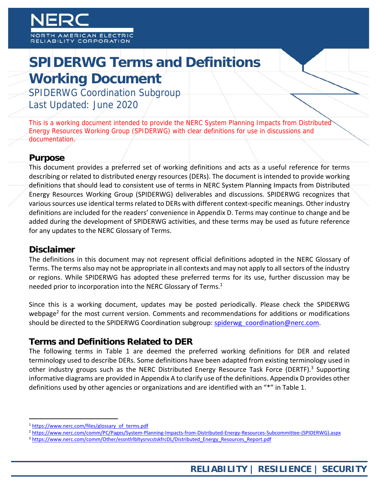# **SPIDERWG Terms and Definitions Working Document**

SPIDERWG Coordination Subgroup Last Updated: June 2020

This is a working document intended to provide the NERC System Planning Impacts from Distributed Energy Resources Working Group (SPIDERWG) with clear definitions for use in discussions and documentation.

#### **Purpose**

This document provides a preferred set of working definitions and acts as a useful reference for terms describing or related to distributed energy resources (DERs). The document is intended to provide working definitions that should lead to consistent use of terms in NERC System Planning Impacts from Distributed Energy Resources Working Group (SPIDERWG) deliverables and discussions. SPIDERWG recognizes that various sources use identical terms related to DERs with different context-specific meanings. Other industry definitions are included for the readers' convenience in Appendix D. Terms may continue to change and be added during the development of SPIDERWG activities, and these terms may be used as future reference for any updates to the NERC Glossary of Terms.

#### **Disclaimer**

The definitions in this document may not represent official definitions adopted in the NERC Glossary of Terms. The terms also may not be appropriate in all contexts and may not apply to all sectors of the industry or regions. While SPIDERWG has adopted these preferred terms for its use, further discussion may be needed prior to incorporation into the NERC Glossary of Terms.<sup>1</sup>

Since this is a working document, updates may be posted periodically. Please check the SPIDERWG webpage<sup>2</sup> for the most current version. Comments and recommendations for additions or modifications should be directed to the SPIDERWG Coordination subgroup: spiderwg\_coordination@nerc.com.

### **Terms and Definitions Related to DER**

The following terms in Table 1 are deemed the preferred working definitions for DER and related terminology used to describe DERs. Some definitions have been adapted from existing terminology used in other industry groups such as the NERC Distributed Energy Resource Task Force (DERTF).<sup>3</sup> Supporting informative diagrams are provided in Appendix A to clarify use of the definitions. Appendix D provides other definitions used by other agencies or organizations and are identified with an "\*" in Table 1.

<sup>&</sup>lt;sup>1</sup> https://www.nerc.com/files/glossary\_of\_terms.pdf

<sup>2</sup> https://www.nerc.com/comm/PC/Pages/System-Planning-Impacts-from-Distributed-Energy-Resources-Subcommittee-(SPIDERWG).aspx

<sup>&</sup>lt;sup>3</sup> https://www.nerc.com/comm/Other/essntlrlbltysrvcstskfrcDL/Distributed\_Energy\_Resources\_Report.pdf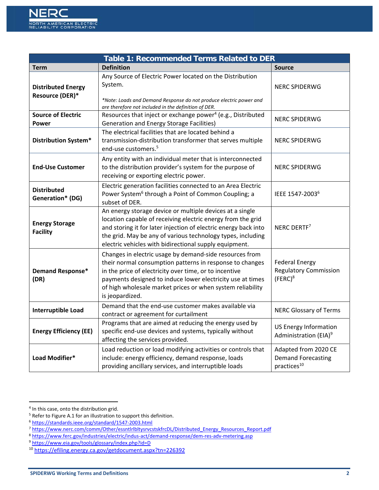| Table 1: Recommended Terms Related to DER     |                                                                                                                                                                                                                                                                                                                              |                                                                              |  |
|-----------------------------------------------|------------------------------------------------------------------------------------------------------------------------------------------------------------------------------------------------------------------------------------------------------------------------------------------------------------------------------|------------------------------------------------------------------------------|--|
| <b>Term</b>                                   | <b>Definition</b>                                                                                                                                                                                                                                                                                                            | <b>Source</b>                                                                |  |
| <b>Distributed Energy</b><br>Resource (DER)*  | Any Source of Electric Power located on the Distribution<br>System.<br>*Note: Loads and Demand Response do not produce electric power and<br>are therefore not included in the definition of DER.                                                                                                                            | <b>NERC SPIDERWG</b>                                                         |  |
| <b>Source of Electric</b><br>Power            | Resources that inject or exchange power <sup>4</sup> (e.g., Distributed<br><b>Generation and Energy Storage Facilities)</b>                                                                                                                                                                                                  | <b>NERC SPIDERWG</b>                                                         |  |
| <b>Distribution System*</b>                   | The electrical facilities that are located behind a<br>transmission-distribution transformer that serves multiple<br>end-use customers. <sup>5</sup>                                                                                                                                                                         | <b>NERC SPIDERWG</b>                                                         |  |
| <b>End-Use Customer</b>                       | Any entity with an individual meter that is interconnected<br>to the distribution provider's system for the purpose of<br>receiving or exporting electric power.                                                                                                                                                             | <b>NERC SPIDERWG</b>                                                         |  |
| <b>Distributed</b><br><b>Generation* (DG)</b> | Electric generation facilities connected to an Area Electric<br>Power System <sup>6</sup> through a Point of Common Coupling; a<br>subset of DER.                                                                                                                                                                            | IEEE 1547-2003 <sup>6</sup>                                                  |  |
| <b>Energy Storage</b><br><b>Facility</b>      | An energy storage device or multiple devices at a single<br>location capable of receiving electric energy from the grid<br>and storing it for later injection of electric energy back into<br>the grid. May be any of various technology types, including<br>electric vehicles with bidirectional supply equipment.          | NERC DERTF <sup>7</sup>                                                      |  |
| <b>Demand Response*</b><br>(DR)               | Changes in electric usage by demand-side resources from<br>their normal consumption patterns in response to changes<br>in the price of electricity over time, or to incentive<br>payments designed to induce lower electricity use at times<br>of high wholesale market prices or when system reliability<br>is jeopardized. | <b>Federal Energy</b><br><b>Regulatory Commission</b><br>$(FERC)^8$          |  |
| <b>Interruptible Load</b>                     | Demand that the end-use customer makes available via<br>contract or agreement for curtailment                                                                                                                                                                                                                                | <b>NERC Glossary of Terms</b>                                                |  |
| <b>Energy Efficiency (EE)</b>                 | Programs that are aimed at reducing the energy used by<br>specific end-use devices and systems, typically without<br>affecting the services provided.                                                                                                                                                                        | <b>US Energy Information</b><br>Administration (EIA) <sup>9</sup>            |  |
| Load Modifier*                                | Load reduction or load modifying activities or controls that<br>include: energy efficiency, demand response, loads<br>providing ancillary services, and interruptible loads                                                                                                                                                  | Adapted from 2020 CE<br><b>Demand Forecasting</b><br>practices <sup>10</sup> |  |

 <sup>4</sup> In this case, onto the distribution grid.

<sup>5</sup> Refer to Figure A.1 for an illustration to support this definition.

<sup>6</sup> https://standards.ieee.org/standard/1547‐2003.html

<sup>7</sup> https://www.nerc.com/comm/Other/essntlrlbltysrvcstskfrcDL/Distributed\_Energy\_Resources\_Report.pdf

<sup>8</sup> https://www.ferc.gov/industries/electric/indus-act/demand-response/dem-res-adv-metering.asp

<sup>9</sup> https://www.eia.gov/tools/glossary/index.php?id=D

<sup>10</sup> https://efiling.energy.ca.gov/getdocument.aspx?tn=226392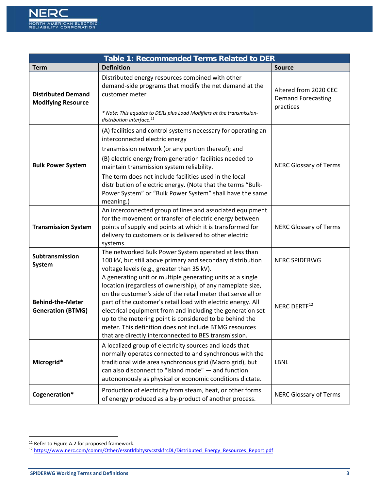| <b>Table 1: Recommended Terms Related to DER</b>       |                                                                                                                                                                                                                                                                                                                                                                                                                                                                                                      |                                                                 |  |
|--------------------------------------------------------|------------------------------------------------------------------------------------------------------------------------------------------------------------------------------------------------------------------------------------------------------------------------------------------------------------------------------------------------------------------------------------------------------------------------------------------------------------------------------------------------------|-----------------------------------------------------------------|--|
| <b>Term</b>                                            | <b>Definition</b>                                                                                                                                                                                                                                                                                                                                                                                                                                                                                    | <b>Source</b>                                                   |  |
| <b>Distributed Demand</b><br><b>Modifying Resource</b> | Distributed energy resources combined with other<br>demand-side programs that modify the net demand at the<br>customer meter<br>* Note: This equates to DERs plus Load Modifiers at the transmission-<br>distribution interface. <sup>11</sup>                                                                                                                                                                                                                                                       | Altered from 2020 CEC<br><b>Demand Forecasting</b><br>practices |  |
| <b>Bulk Power System</b>                               | (A) facilities and control systems necessary for operating an<br>interconnected electric energy<br>transmission network (or any portion thereof); and<br>(B) electric energy from generation facilities needed to<br>maintain transmission system reliability.<br>The term does not include facilities used in the local<br>distribution of electric energy. (Note that the terms "Bulk-<br>Power System" or "Bulk Power System" shall have the same<br>meaning.)                                    | <b>NERC Glossary of Terms</b>                                   |  |
| <b>Transmission System</b>                             | An interconnected group of lines and associated equipment<br>for the movement or transfer of electric energy between<br>points of supply and points at which it is transformed for<br>delivery to customers or is delivered to other electric<br>systems.                                                                                                                                                                                                                                            | <b>NERC Glossary of Terms</b>                                   |  |
| Subtransmission<br>System                              | The networked Bulk Power System operated at less than<br>100 kV, but still above primary and secondary distribution<br>voltage levels (e.g., greater than 35 kV).                                                                                                                                                                                                                                                                                                                                    | <b>NERC SPIDERWG</b>                                            |  |
| <b>Behind-the-Meter</b><br><b>Generation (BTMG)</b>    | A generating unit or multiple generating units at a single<br>location (regardless of ownership), of any nameplate size,<br>on the customer's side of the retail meter that serve all or<br>part of the customer's retail load with electric energy. All<br>electrical equipment from and including the generation set<br>up to the metering point is considered to be behind the<br>meter. This definition does not include BTMG resources<br>that are directly interconnected to BES transmission. | NERC DERTF <sup>12</sup>                                        |  |
| Microgrid*                                             | A localized group of electricity sources and loads that<br>normally operates connected to and synchronous with the<br>traditional wide area synchronous grid (Macro grid), but<br>can also disconnect to "island mode" - and function<br>autonomously as physical or economic conditions dictate.                                                                                                                                                                                                    | <b>LBNL</b>                                                     |  |
| Cogeneration*                                          | Production of electricity from steam, heat, or other forms<br>of energy produced as a by-product of another process.                                                                                                                                                                                                                                                                                                                                                                                 | <b>NERC Glossary of Terms</b>                                   |  |

<sup>&</sup>lt;sup>11</sup> Refer to Figure A.2 for proposed framework.

<sup>12</sup> https://www.nerc.com/comm/Other/essntlrlbltysrvcstskfrcDL/Distributed\_Energy\_Resources\_Report.pdf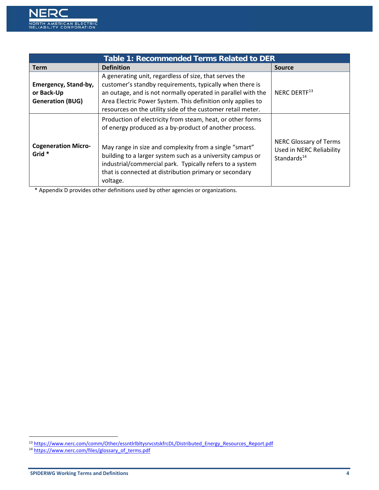

| <b>Table 1: Recommended Terms Related to DER</b>              |                                                                                                                                                                                                                                                                                                                                                                                |                                                                                             |
|---------------------------------------------------------------|--------------------------------------------------------------------------------------------------------------------------------------------------------------------------------------------------------------------------------------------------------------------------------------------------------------------------------------------------------------------------------|---------------------------------------------------------------------------------------------|
| <b>Term</b>                                                   | <b>Definition</b>                                                                                                                                                                                                                                                                                                                                                              | <b>Source</b>                                                                               |
| Emergency, Stand-by,<br>or Back-Up<br><b>Generation (BUG)</b> | A generating unit, regardless of size, that serves the<br>customer's standby requirements, typically when there is<br>an outage, and is not normally operated in parallel with the<br>Area Electric Power System. This definition only applies to<br>resources on the utility side of the customer retail meter.                                                               | NERC DERTF <sup>13</sup>                                                                    |
| <b>Cogeneration Micro-</b><br>Grid *                          | Production of electricity from steam, heat, or other forms<br>of energy produced as a by-product of another process.<br>May range in size and complexity from a single "smart"<br>building to a larger system such as a university campus or<br>industrial/commercial park. Typically refers to a system<br>that is connected at distribution primary or secondary<br>voltage. | <b>NERC Glossary of Terms</b><br><b>Used in NERC Reliability</b><br>Standards <sup>14</sup> |

\* Appendix D provides other definitions used by other agencies or organizations.

<sup>&</sup>lt;sup>13</sup> https://www.nerc.com/comm/Other/essntlrlbltysrvcstskfrcDL/Distributed\_Energy\_Resources\_Report.pdf

<sup>&</sup>lt;sup>14</sup> https://www.nerc.com/files/glossary\_of\_terms.pdf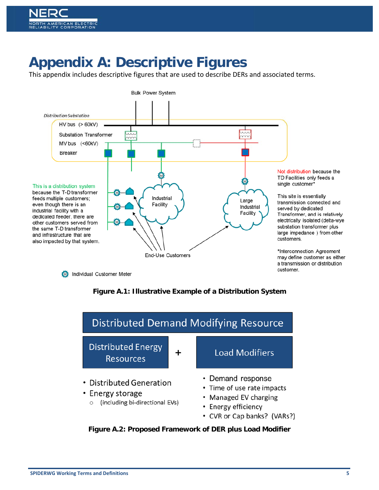# **Appendix A: Descriptive Figures**

This appendix includes descriptive figures that are used to describe DERs and associated terms.







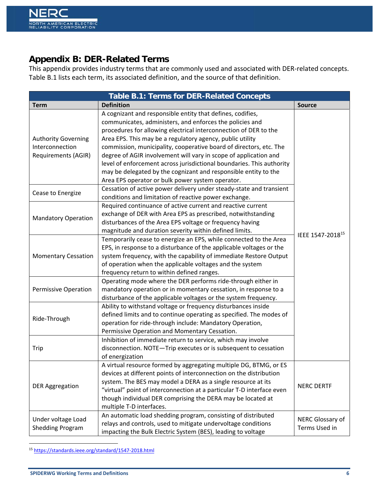## **Appendix B: DER-Related Terms**

This appendix provides industry terms that are commonly used and associated with DER‐related concepts. Table B.1 lists each term, its associated definition, and the source of that definition.

| Table B.1: Terms for DER-Related Concepts                                                 |                                                                                                                                                                                                                                                                                                                                                                                                                                                                                                                                                                                                                                                                                                                                   |                                   |  |
|-------------------------------------------------------------------------------------------|-----------------------------------------------------------------------------------------------------------------------------------------------------------------------------------------------------------------------------------------------------------------------------------------------------------------------------------------------------------------------------------------------------------------------------------------------------------------------------------------------------------------------------------------------------------------------------------------------------------------------------------------------------------------------------------------------------------------------------------|-----------------------------------|--|
| <b>Term</b>                                                                               | <b>Definition</b>                                                                                                                                                                                                                                                                                                                                                                                                                                                                                                                                                                                                                                                                                                                 | <b>Source</b>                     |  |
| <b>Authority Governing</b><br>Interconnection<br>Requirements (AGIR)<br>Cease to Energize | A cognizant and responsible entity that defines, codifies,<br>communicates, administers, and enforces the policies and<br>procedures for allowing electrical interconnection of DER to the<br>Area EPS. This may be a regulatory agency, public utility<br>commission, municipality, cooperative board of directors, etc. The<br>degree of AGIR involvement will vary in scope of application and<br>level of enforcement across jurisdictional boundaries. This authority<br>may be delegated by the cognizant and responsible entity to the<br>Area EPS operator or bulk power system operator.<br>Cessation of active power delivery under steady-state and transient<br>conditions and limitation of reactive power exchange. |                                   |  |
| <b>Mandatory Operation</b>                                                                | Required continuance of active current and reactive current<br>exchange of DER with Area EPS as prescribed, notwithstanding<br>disturbances of the Area EPS voltage or frequency having<br>magnitude and duration severity within defined limits.                                                                                                                                                                                                                                                                                                                                                                                                                                                                                 |                                   |  |
| <b>Momentary Cessation</b>                                                                | Temporarily cease to energize an EPS, while connected to the Area<br>EPS, in response to a disturbance of the applicable voltages or the<br>system frequency, with the capability of immediate Restore Output<br>of operation when the applicable voltages and the system<br>frequency return to within defined ranges.                                                                                                                                                                                                                                                                                                                                                                                                           | IEEE 1547-2018 <sup>15</sup>      |  |
| <b>Permissive Operation</b>                                                               | Operating mode where the DER performs ride-through either in<br>mandatory operation or in momentary cessation, in response to a<br>disturbance of the applicable voltages or the system frequency.                                                                                                                                                                                                                                                                                                                                                                                                                                                                                                                                |                                   |  |
| Ride-Through                                                                              | Ability to withstand voltage or frequency disturbances inside<br>defined limits and to continue operating as specified. The modes of<br>operation for ride-through include: Mandatory Operation,<br>Permissive Operation and Momentary Cessation.                                                                                                                                                                                                                                                                                                                                                                                                                                                                                 |                                   |  |
| Trip                                                                                      | Inhibition of immediate return to service, which may involve<br>disconnection. NOTE-Trip executes or is subsequent to cessation<br>of energization                                                                                                                                                                                                                                                                                                                                                                                                                                                                                                                                                                                |                                   |  |
| <b>DER Aggregation</b>                                                                    | A virtual resource formed by aggregating multiple DG, BTMG, or ES<br>devices at different points of interconnection on the distribution<br>system. The BES may model a DERA as a single resource at its<br>"virtual" point of interconnection at a particular T-D interface even<br>though individual DER comprising the DERA may be located at<br>multiple T-D interfaces.                                                                                                                                                                                                                                                                                                                                                       | <b>NERC DERTF</b>                 |  |
| Under voltage Load<br><b>Shedding Program</b>                                             | An automatic load shedding program, consisting of distributed<br>relays and controls, used to mitigate undervoltage conditions<br>impacting the Bulk Electric System (BES), leading to voltage                                                                                                                                                                                                                                                                                                                                                                                                                                                                                                                                    | NERC Glossary of<br>Terms Used in |  |

 <sup>15</sup> https://standards.ieee.org/standard/1547‐2018.html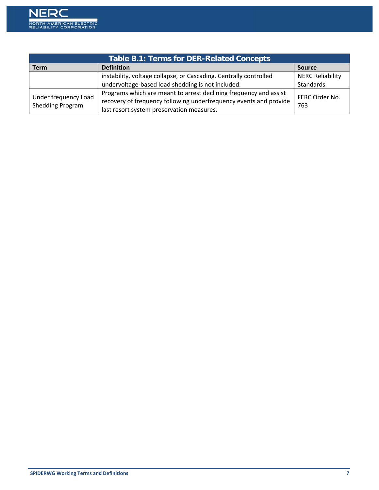

| <b>Table B.1: Terms for DER-Related Concepts</b> |                                                                   |                         |  |
|--------------------------------------------------|-------------------------------------------------------------------|-------------------------|--|
| <b>Term</b>                                      | <b>Definition</b>                                                 | <b>Source</b>           |  |
|                                                  | instability, voltage collapse, or Cascading. Centrally controlled | <b>NERC Reliability</b> |  |
|                                                  | undervoltage-based load shedding is not included.                 | Standards               |  |
| Under frequency Load<br>Shedding Program         | Programs which are meant to arrest declining frequency and assist | FERC Order No.          |  |
|                                                  | recovery of frequency following underfrequency events and provide | 763                     |  |
|                                                  | last resort system preservation measures.                         |                         |  |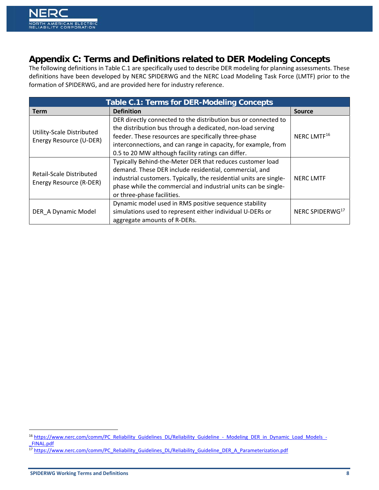

## **Appendix C: Terms and Definitions related to DER Modeling Concepts**

The following definitions in Table C.1 are specifically used to describe DER modeling for planning assessments. These definitions have been developed by NERC SPIDERWG and the NERC Load Modeling Task Force (LMTF) prior to the formation of SPIDERWG, and are provided here for industry reference.

| <b>Table C.1: Terms for DER-Modeling Concepts</b>    |                                                                                                                                                                                                                                                                                                              |                             |  |
|------------------------------------------------------|--------------------------------------------------------------------------------------------------------------------------------------------------------------------------------------------------------------------------------------------------------------------------------------------------------------|-----------------------------|--|
| <b>Term</b>                                          | <b>Definition</b>                                                                                                                                                                                                                                                                                            | <b>Source</b>               |  |
| Utility-Scale Distributed<br>Energy Resource (U-DER) | DER directly connected to the distribution bus or connected to<br>the distribution bus through a dedicated, non-load serving<br>feeder. These resources are specifically three-phase<br>interconnections, and can range in capacity, for example, from<br>0.5 to 20 MW although facility ratings can differ. | NERC LMTF <sup>16</sup>     |  |
| Retail-Scale Distributed<br>Energy Resource (R-DER)  | Typically Behind-the-Meter DER that reduces customer load<br>demand. These DER include residential, commercial, and<br>industrial customers. Typically, the residential units are single-<br>phase while the commercial and industrial units can be single-<br>or three-phase facilities.                    | <b>NERC LMTF</b>            |  |
| DER A Dynamic Model                                  | Dynamic model used in RMS positive sequence stability<br>simulations used to represent either individual U-DERs or<br>aggregate amounts of R-DERs.                                                                                                                                                           | NERC SPIDERWG <sup>17</sup> |  |

<sup>16</sup> https://www.nerc.com/comm/PC\_Reliability\_Guidelines\_DL/Reliability\_Guideline\_-\_Modeling\_DER\_in\_Dynamic\_Load\_Models\_-\_FINAL.pdf

<sup>17</sup> https://www.nerc.com/comm/PC\_Reliability\_Guidelines\_DL/Reliability\_Guideline\_DER\_A\_Parameterization.pdf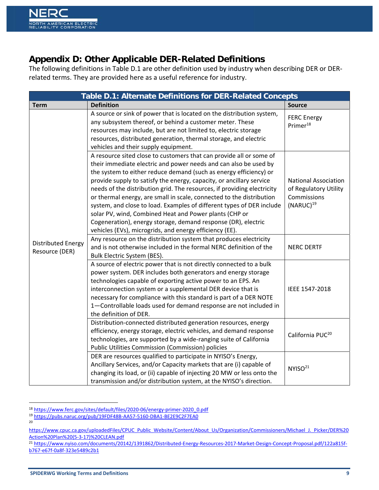# **Appendix D: Other Applicable DER-Related Definitions**

The following definitions in Table D.1 are other definition used by industry when describing DER or DER‐ related terms. They are provided here as a useful reference for industry.

| Table D.1: Alternate Definitions for DER-Related Concepts |                                                                                                                                                                                                                                                                                                                                                                                                                                                                                                                                                                                                                                                                                                        |                                                                                       |
|-----------------------------------------------------------|--------------------------------------------------------------------------------------------------------------------------------------------------------------------------------------------------------------------------------------------------------------------------------------------------------------------------------------------------------------------------------------------------------------------------------------------------------------------------------------------------------------------------------------------------------------------------------------------------------------------------------------------------------------------------------------------------------|---------------------------------------------------------------------------------------|
| <b>Term</b>                                               | <b>Definition</b>                                                                                                                                                                                                                                                                                                                                                                                                                                                                                                                                                                                                                                                                                      | <b>Source</b>                                                                         |
|                                                           | A source or sink of power that is located on the distribution system,<br>any subsystem thereof, or behind a customer meter. These<br>resources may include, but are not limited to, electric storage<br>resources, distributed generation, thermal storage, and electric<br>vehicles and their supply equipment.                                                                                                                                                                                                                                                                                                                                                                                       | <b>FERC Energy</b><br>Primer <sup>18</sup>                                            |
|                                                           | A resource sited close to customers that can provide all or some of<br>their immediate electric and power needs and can also be used by<br>the system to either reduce demand (such as energy efficiency) or<br>provide supply to satisfy the energy, capacity, or ancillary service<br>needs of the distribution grid. The resources, if providing electricity<br>or thermal energy, are small in scale, connected to the distribution<br>system, and close to load. Examples of different types of DER include<br>solar PV, wind, Combined Heat and Power plants (CHP or<br>Cogeneration), energy storage, demand response (DR), electric<br>vehicles (EVs), microgrids, and energy efficiency (EE). | <b>National Association</b><br>of Regulatory Utility<br>Commissions<br>$(NARUC)^{19}$ |
| <b>Distributed Energy</b><br>Resource (DER)               | Any resource on the distribution system that produces electricity<br>and is not otherwise included in the formal NERC definition of the<br>Bulk Electric System (BES).                                                                                                                                                                                                                                                                                                                                                                                                                                                                                                                                 | <b>NERC DERTF</b>                                                                     |
|                                                           | A source of electric power that is not directly connected to a bulk<br>power system. DER includes both generators and energy storage<br>technologies capable of exporting active power to an EPS. An<br>interconnection system or a supplemental DER device that is<br>necessary for compliance with this standard is part of a DER NOTE<br>1-Controllable loads used for demand response are not included in<br>the definition of DER.                                                                                                                                                                                                                                                                | IEEE 1547-2018                                                                        |
|                                                           | Distribution-connected distributed generation resources, energy<br>efficiency, energy storage, electric vehicles, and demand response<br>technologies, are supported by a wide-ranging suite of California<br>Public Utilities Commission (Commission) policies                                                                                                                                                                                                                                                                                                                                                                                                                                        | California PUC <sup>20</sup>                                                          |
|                                                           | DER are resources qualified to participate in NYISO's Energy,<br>Ancillary Services, and/or Capacity markets that are (i) capable of<br>changing its load, or (ii) capable of injecting 20 MW or less onto the<br>transmission and/or distribution system, at the NYISO's direction.                                                                                                                                                                                                                                                                                                                                                                                                                   | NYISO <sup>21</sup>                                                                   |

 <sup>18</sup> https://www.ferc.gov/sites/default/files/2020‐06/energy‐primer‐2020\_0.pdf

<sup>19</sup> https://pubs.naruc.org/pub/19FDF48B-AA57-5160-DBA1-BE2E9C2F7EA0

<sup>20</sup>

https://www.cpuc.ca.gov/uploadedFiles/CPUC\_Public\_Website/Content/About\_Us/Organization/Commissioners/Michael\_J.\_Picker/DER%20 Action%20Plan%20(5‐3‐17)%20CLEAN.pdf

<sup>21</sup> https://www.nyiso.com/documents/20142/1391862/Distributed-Energy-Resources-2017-Market-Design-Concept-Proposal.pdf/122a815fb767‐e67f‐0a8f‐323e5489c2b1